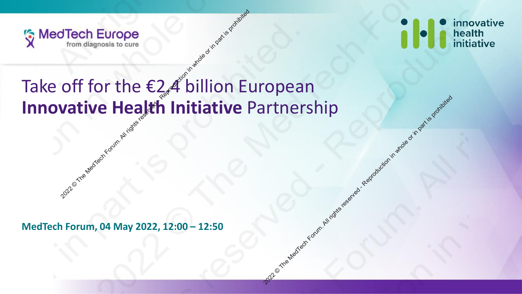



## Take off for the €2.4 billion European **Innovative Health Initiative** Partnership Tech Europe<br>
Trom diagnosis to cure<br>
Off for the E2.4 billion El<br>
Vative Health Initiative I 2022 of the Medicine of order and participates reserved - Reproduction in whole or in part is equilibried Europe<br>
2022 Constitution European<br>
2022 A Dillion European<br>
2022 A Dillion European<br>
2022 A Dillion European<br>
2022 A Dillion European<br>
2022 A Dillion European<br>
2022 A Dillion European<br>
2022 A Dillion European<br>
2022 A Dil 2221  $\frac{2022}{100}$  MedTech Forum, 04 May 2022, 12:00 – 12:50 2021 © The MedTech Forum. All rights reserved - Reproduction in whole or in part is prohibited.  $\frac{1}{2}$ <sup>2021</sup> Take off for the  $\epsilon$ <sub>2</sub>4 billion European<br>
Innovative Health Initiative Partnership<br>
MedTech Forum, 04 May 2022, 12:00 – 12:50<br>
MedTech Forum, 04 May 2022, 12:00 – 12:50 2021 © The MedTech Forum. All rights reserved - Reproduction in whole or in part is prohibited. Examples to come of for the  $\epsilon_2$   $\epsilon$  billion European vative Health Initiative Partnership<br>vative Health Initiative Partnership 2021 © The MedTech Forum. All rights reserved - Reproduction in whole or in part is prohibited.

**MedTech Forum, 04 May 2022, 12:00 – 12:50**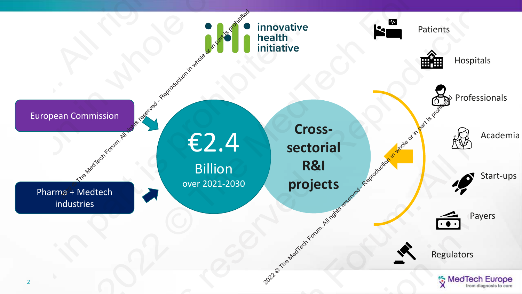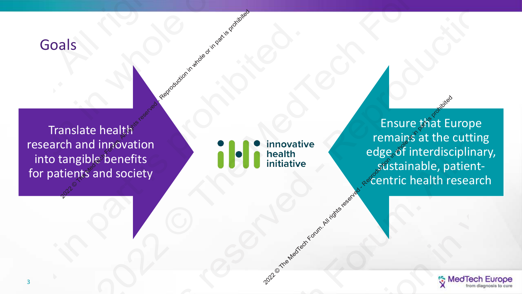## Goals

Translate health research and innovation into tangible benefits for patients and society 2021 Coals<br>2021 Translate health<br>into tangible benefits<br>for patients and society<br>3 2021 Coals<br>
2021 Coals<br>
Translate health<br>
Translate health<br>
Translate health<br>
Translate health<br>
Translate health<br>
Translate health<br>
Translate health<br>
Translate health<br>
Translate health<br>
Translate health<br>
Translate bedge, o

centric health<br>
and the Media Forum. All rights reserved in part is productive.

Ensure that Europe remains at the cutting edge of interdisciplinary, <sub>့န</sub>္တတိုးtainable, patient-<br>န<sup>ွ</sup>င်entric health research 2022 Property of the Meditine of the Meditine of the Meditine of the All rights at the cutting edge of interdisciplinary, experiments and society<br>and society. The Meditine of the Meditine of the Meditine or in the Search F Translate health<br>
research and innovation<br>
into tangible benefits<br>
for patients and society<br>
edge of interdisciplinary,<br>
search abelian benefits<br>
centric health research<br>
and society<br>
and the centric health research<br>
and t Translate health<br>
research and innovation<br>
into tangible benefits<br>
for patients and society<br>
edge of interdisciplinary,<br>
search abelian benefits<br>
centric health research<br>
and society<br>
and the centric health research<br>
and t 2021 Property of the Medicine Control of the Medicine School Forum.<br>
This are that Europe<br>
tending of the Control of the Medicine School Forum.<br>
This are that Europe<br>
tending the School Forum.<br>
This are that Europe<br>
The Me Translate health<br>
research and innovation<br>
into tangible benefits<br>
for patients and society<br>
edge of interdisciplinary,<br>
search abelian benefits<br>
centric health research<br>
and society<br>
and the centric health research<br>
and t

![](_page_2_Picture_4.jpeg)